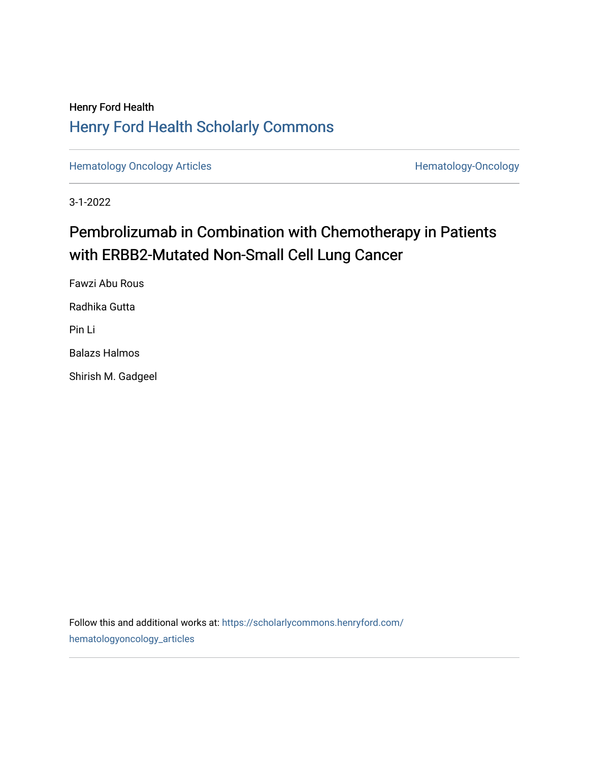## Henry Ford Health [Henry Ford Health Scholarly Commons](https://scholarlycommons.henryford.com/)

[Hematology Oncology Articles](https://scholarlycommons.henryford.com/hematologyoncology_articles) **Hematology-Oncology** 

3-1-2022

# Pembrolizumab in Combination with Chemotherapy in Patients with ERBB2-Mutated Non-Small Cell Lung Cancer

Fawzi Abu Rous Radhika Gutta Pin Li Balazs Halmos Shirish M. Gadgeel

Follow this and additional works at: [https://scholarlycommons.henryford.com/](https://scholarlycommons.henryford.com/hematologyoncology_articles?utm_source=scholarlycommons.henryford.com%2Fhematologyoncology_articles%2F238&utm_medium=PDF&utm_campaign=PDFCoverPages) [hematologyoncology\\_articles](https://scholarlycommons.henryford.com/hematologyoncology_articles?utm_source=scholarlycommons.henryford.com%2Fhematologyoncology_articles%2F238&utm_medium=PDF&utm_campaign=PDFCoverPages)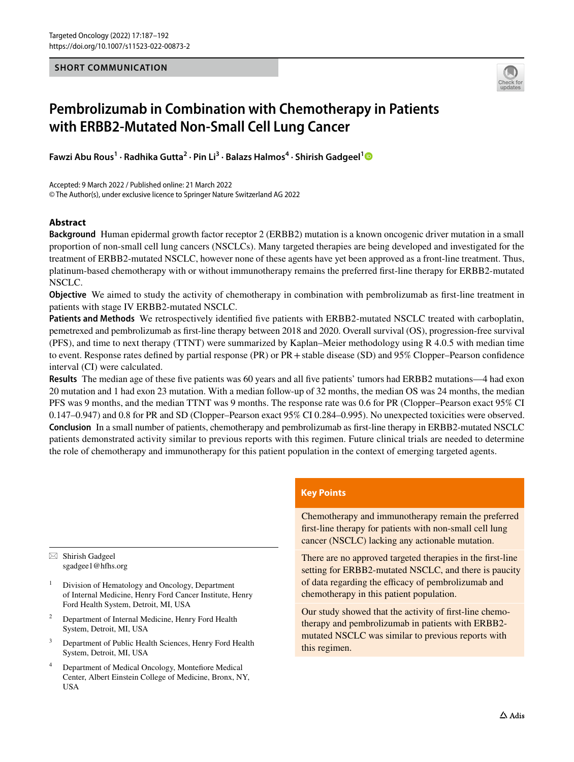#### **SHORT COMMUNICATION**



## **Pembrolizumab in Combination with Chemotherapy in Patients with ERBB2‑Mutated Non‑Small Cell Lung Cancer**

**Fawzi Abu Rous1 · Radhika Gutta2 · Pin Li3 · Balazs Halmos4 · Shirish Gadgeel[1](http://orcid.org/0000-0001-5240-3811)**

Accepted: 9 March 2022 / Published online: 21 March 2022 © The Author(s), under exclusive licence to Springer Nature Switzerland AG 2022

### **Abstract**

**Background** Human epidermal growth factor receptor 2 (ERBB2) mutation is a known oncogenic driver mutation in a small proportion of non-small cell lung cancers (NSCLCs). Many targeted therapies are being developed and investigated for the treatment of ERBB2-mutated NSCLC, however none of these agents have yet been approved as a front-line treatment. Thus, platinum-based chemotherapy with or without immunotherapy remains the preferred frst-line therapy for ERBB2-mutated NSCLC.

**Objective** We aimed to study the activity of chemotherapy in combination with pembrolizumab as first-line treatment in patients with stage IV ERBB2-mutated NSCLC.

Patients and Methods We retrospectively identified five patients with ERBB2-mutated NSCLC treated with carboplatin, pemetrexed and pembrolizumab as frst-line therapy between 2018 and 2020. Overall survival (OS), progression-free survival (PFS), and time to next therapy (TTNT) were summarized by Kaplan–Meier methodology using R 4.0.5 with median time to event. Response rates defned by partial response (PR) or PR+stable disease (SD) and 95% Clopper–Pearson confdence interval (CI) were calculated.

**Results** The median age of these fve patients was 60 years and all fve patients' tumors had ERBB2 mutations—4 had exon 20 mutation and 1 had exon 23 mutation. With a median follow-up of 32 months, the median OS was 24 months, the median PFS was 9 months, and the median TTNT was 9 months. The response rate was 0.6 for PR (Clopper–Pearson exact 95% CI 0.147–0.947) and 0.8 for PR and SD (Clopper–Pearson exact 95% CI 0.284–0.995). No unexpected toxicities were observed. **Conclusion** In a small number of patients, chemotherapy and pembrolizumab as frst-line therapy in ERBB2-mutated NSCLC patients demonstrated activity similar to previous reports with this regimen. Future clinical trials are needed to determine the role of chemotherapy and immunotherapy for this patient population in the context of emerging targeted agents.

 $\boxtimes$  Shirish Gadgeel sgadgee1@hfhs.org

- <sup>1</sup> Division of Hematology and Oncology, Department of Internal Medicine, Henry Ford Cancer Institute, Henry Ford Health System, Detroit, MI, USA
- <sup>2</sup> Department of Internal Medicine, Henry Ford Health System, Detroit, MI, USA
- <sup>3</sup> Department of Public Health Sciences, Henry Ford Health System, Detroit, MI, USA
- Department of Medical Oncology, Montefiore Medical Center, Albert Einstein College of Medicine, Bronx, NY, USA

#### **Key Points**

Chemotherapy and immunotherapy remain the preferred frst-line therapy for patients with non-small cell lung cancer (NSCLC) lacking any actionable mutation.

There are no approved targeted therapies in the frst-line setting for ERBB2-mutated NSCLC, and there is paucity of data regarding the efficacy of pembrolizumab and chemotherapy in this patient population.

Our study showed that the activity of frst-line chemotherapy and pembrolizumab in patients with ERBB2 mutated NSCLC was similar to previous reports with this regimen.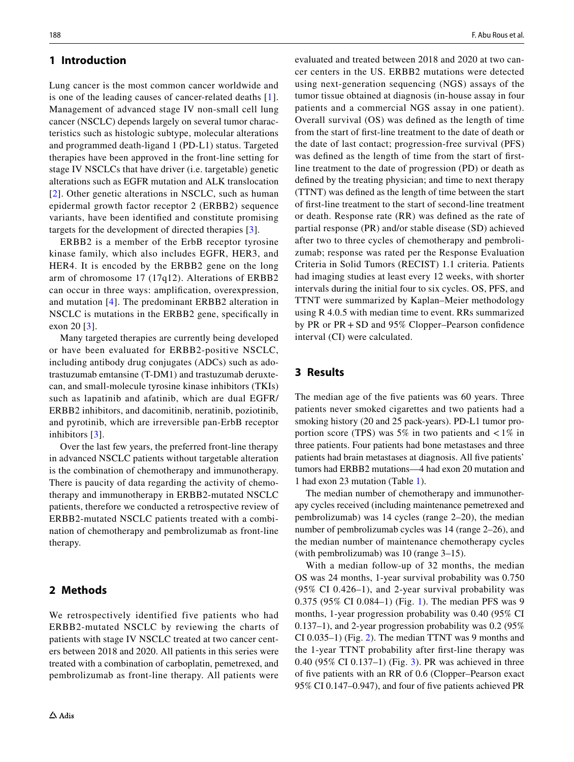#### **1 Introduction**

Lung cancer is the most common cancer worldwide and is one of the leading causes of cancer-related deaths [[1](#page-5-0)]. Management of advanced stage IV non-small cell lung cancer (NSCLC) depends largely on several tumor characteristics such as histologic subtype, molecular alterations and programmed death-ligand 1 (PD-L1) status. Targeted therapies have been approved in the front-line setting for stage IV NSCLCs that have driver (i.e. targetable) genetic alterations such as EGFR mutation and ALK translocation [[2\]](#page-5-1). Other genetic alterations in NSCLC, such as human epidermal growth factor receptor 2 (ERBB2) sequence variants, have been identifed and constitute promising targets for the development of directed therapies [[3\]](#page-5-2).

ERBB2 is a member of the ErbB receptor tyrosine kinase family, which also includes EGFR, HER3, and HER4. It is encoded by the ERBB2 gene on the long arm of chromosome 17 (17q12). Alterations of ERBB2 can occur in three ways: amplifcation, overexpression, and mutation [[4](#page-5-3)]. The predominant ERBB2 alteration in NSCLC is mutations in the ERBB2 gene, specifcally in exon 20 [[3\]](#page-5-2).

Many targeted therapies are currently being developed or have been evaluated for ERBB2-positive NSCLC, including antibody drug conjugates (ADCs) such as adotrastuzumab emtansine (T-DM1) and trastuzumab deruxtecan, and small-molecule tyrosine kinase inhibitors (TKIs) such as lapatinib and afatinib, which are dual EGFR/ ERBB2 inhibitors, and dacomitinib, neratinib, poziotinib, and pyrotinib, which are irreversible pan-ErbB receptor inhibitors [\[3\]](#page-5-2).

Over the last few years, the preferred front-line therapy in advanced NSCLC patients without targetable alteration is the combination of chemotherapy and immunotherapy. There is paucity of data regarding the activity of chemotherapy and immunotherapy in ERBB2-mutated NSCLC patients, therefore we conducted a retrospective review of ERBB2-mutated NSCLC patients treated with a combination of chemotherapy and pembrolizumab as front-line therapy.

## **2 Methods**

We retrospectively identified five patients who had ERBB2-mutated NSCLC by reviewing the charts of patients with stage IV NSCLC treated at two cancer centers between 2018 and 2020. All patients in this series were treated with a combination of carboplatin, pemetrexed, and pembrolizumab as front-line therapy. All patients were

evaluated and treated between 2018 and 2020 at two cancer centers in the US. ERBB2 mutations were detected using next-generation sequencing (NGS) assays of the tumor tissue obtained at diagnosis (in-house assay in four patients and a commercial NGS assay in one patient). Overall survival (OS) was defned as the length of time from the start of frst-line treatment to the date of death or the date of last contact; progression-free survival (PFS) was defned as the length of time from the start of frstline treatment to the date of progression (PD) or death as defned by the treating physician; and time to next therapy (TTNT) was defned as the length of time between the start of frst-line treatment to the start of second-line treatment or death. Response rate (RR) was defned as the rate of partial response (PR) and/or stable disease (SD) achieved after two to three cycles of chemotherapy and pembrolizumab; response was rated per the Response Evaluation Criteria in Solid Tumors (RECIST) 1.1 criteria. Patients had imaging studies at least every 12 weeks, with shorter intervals during the initial four to six cycles. OS, PFS, and TTNT were summarized by Kaplan–Meier methodology using R 4.0.5 with median time to event. RRs summarized by PR or PR+SD and 95% Clopper–Pearson confdence interval (CI) were calculated.

## **3 Results**

The median age of the fve patients was 60 years. Three patients never smoked cigarettes and two patients had a smoking history (20 and 25 pack-years). PD-L1 tumor proportion score (TPS) was 5% in two patients and  $\lt 1\%$  in three patients. Four patients had bone metastases and three patients had brain metastases at diagnosis. All five patients' tumors had ERBB2 mutations—4 had exon 20 mutation and 1 had exon 23 mutation (Table [1\)](#page-3-0).

The median number of chemotherapy and immunotherapy cycles received (including maintenance pemetrexed and pembrolizumab) was 14 cycles (range 2–20), the median number of pembrolizumab cycles was 14 (range 2–26), and the median number of maintenance chemotherapy cycles (with pembrolizumab) was 10 (range 3–15).

With a median follow-up of 32 months, the median OS was 24 months, 1-year survival probability was 0.750 (95% CI 0.426–1), and 2-year survival probability was 0.375 (95% CI 0.084–1) (Fig. [1\)](#page-3-1). The median PFS was 9 months, 1-year progression probability was 0.40 (95% CI 0.137–1), and 2-year progression probability was 0.2 (95% CI 0.035–1) (Fig. [2\)](#page-3-2). The median TTNT was 9 months and the 1-year TTNT probability after frst-line therapy was 0.40 (95% CI 0.137–1) (Fig. [3](#page-3-3)). PR was achieved in three of fve patients with an RR of 0.6 (Clopper–Pearson exact 95% CI 0.147–0.947), and four of fve patients achieved PR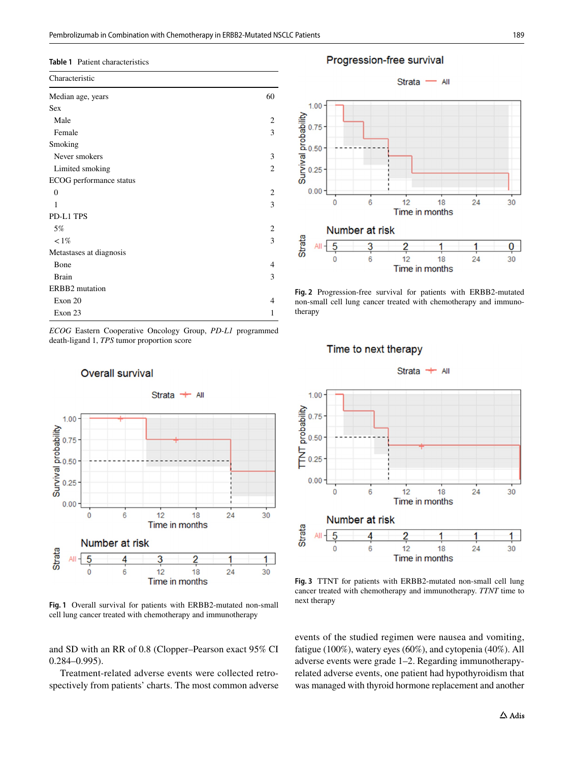#### <span id="page-3-0"></span>**Table 1** Patient characteristics

| Characteristic          |                |
|-------------------------|----------------|
| Median age, years       | 60             |
| <b>Sex</b>              |                |
| Male                    | 2              |
| Female                  | 3              |
| Smoking                 |                |
| Never smokers           | 3              |
| Limited smoking         | $\overline{c}$ |
| ECOG performance status |                |
| $\theta$                | 2              |
| 1                       | 3              |
| PD-L1 TPS               |                |
| 5%                      | 2              |
| $< 1\%$                 | 3              |
| Metastases at diagnosis |                |
| Bone                    | 4              |
| <b>Brain</b>            | 3              |
| ERBB2 mutation          |                |
| Exon 20                 | 4              |
| Exon 23                 | 1              |

*ECOG* Eastern Cooperative Oncology Group, *PD-L1* programmed death-ligand 1, *TPS* tumor proportion score



Progression-free survival

<span id="page-3-2"></span>**Fig. 2** Progression-free survival for patients with ERBB2-mutated non-small cell lung cancer treated with chemotherapy and immunotherapy

Strata  $+$  All



Overall survival

<span id="page-3-1"></span>**Fig. 1** Overall survival for patients with ERBB2-mutated non-small cell lung cancer treated with chemotherapy and immunotherapy

and SD with an RR of 0.8 (Clopper–Pearson exact 95% CI 0.284–0.995).

Treatment-related adverse events were collected retrospectively from patients' charts. The most common adverse

#### Time to next therapy



<span id="page-3-3"></span>**Fig. 3** TTNT for patients with ERBB2-mutated non-small cell lung cancer treated with chemotherapy and immunotherapy. *TTNT* time to next therapy

events of the studied regimen were nausea and vomiting, fatigue (100%), watery eyes (60%), and cytopenia (40%). All adverse events were grade 1–2. Regarding immunotherapyrelated adverse events, one patient had hypothyroidism that was managed with thyroid hormone replacement and another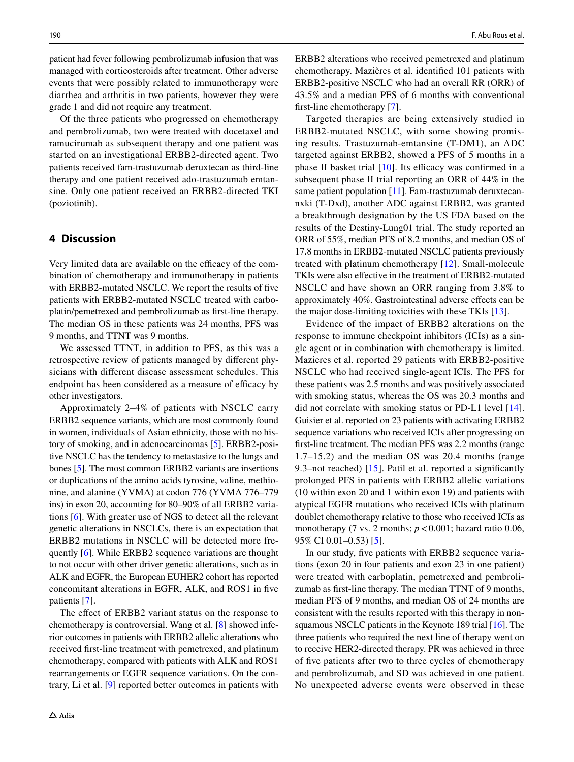patient had fever following pembrolizumab infusion that was managed with corticosteroids after treatment. Other adverse events that were possibly related to immunotherapy were diarrhea and arthritis in two patients, however they were grade 1 and did not require any treatment.

Of the three patients who progressed on chemotherapy and pembrolizumab, two were treated with docetaxel and ramucirumab as subsequent therapy and one patient was started on an investigational ERBB2-directed agent. Two patients received fam-trastuzumab deruxtecan as third-line therapy and one patient received ado-trastuzumab emtansine. Only one patient received an ERBB2-directed TKI (poziotinib).

#### **4 Discussion**

Very limited data are available on the efficacy of the combination of chemotherapy and immunotherapy in patients with ERBB2-mutated NSCLC. We report the results of fve patients with ERBB2-mutated NSCLC treated with carboplatin/pemetrexed and pembrolizumab as frst-line therapy. The median OS in these patients was 24 months, PFS was 9 months, and TTNT was 9 months.

We assessed TTNT, in addition to PFS, as this was a retrospective review of patients managed by diferent physicians with diferent disease assessment schedules. This endpoint has been considered as a measure of efficacy by other investigators.

Approximately 2–4% of patients with NSCLC carry ERBB2 sequence variants, which are most commonly found in women, individuals of Asian ethnicity, those with no history of smoking, and in adenocarcinomas [\[5](#page-5-4)]. ERBB2-positive NSCLC has the tendency to metastasize to the lungs and bones [[5\]](#page-5-4). The most common ERBB2 variants are insertions or duplications of the amino acids tyrosine, valine, methionine, and alanine (YVMA) at codon 776 (YVMA 776–779 ins) in exon 20, accounting for 80–90% of all ERBB2 variations [[6\]](#page-5-5). With greater use of NGS to detect all the relevant genetic alterations in NSCLCs, there is an expectation that ERBB2 mutations in NSCLC will be detected more frequently [[6\]](#page-5-5). While ERBB2 sequence variations are thought to not occur with other driver genetic alterations, such as in ALK and EGFR, the European EUHER2 cohort has reported concomitant alterations in EGFR, ALK, and ROS1 in fve patients [\[7](#page-5-6)].

The effect of ERBB2 variant status on the response to chemotherapy is controversial. Wang et al. [[8](#page-5-7)] showed inferior outcomes in patients with ERBB2 allelic alterations who received frst-line treatment with pemetrexed, and platinum chemotherapy, compared with patients with ALK and ROS1 rearrangements or EGFR sequence variations. On the contrary, Li et al. [\[9](#page-5-8)] reported better outcomes in patients with ERBB2 alterations who received pemetrexed and platinum chemotherapy. Mazières et al. identifed 101 patients with ERBB2-positive NSCLC who had an overall RR (ORR) of 43.5% and a median PFS of 6 months with conventional frst-line chemotherapy [[7\]](#page-5-6).

Targeted therapies are being extensively studied in ERBB2-mutated NSCLC, with some showing promising results. Trastuzumab-emtansine (T-DM1), an ADC targeted against ERBB2, showed a PFS of 5 months in a phase II basket trial  $[10]$  $[10]$  $[10]$ . Its efficacy was confirmed in a subsequent phase II trial reporting an ORR of 44% in the same patient population [[11\]](#page-5-10). Fam-trastuzumab deruxtecannxki (T-Dxd), another ADC against ERBB2, was granted a breakthrough designation by the US FDA based on the results of the Destiny-Lung01 trial. The study reported an ORR of 55%, median PFS of 8.2 months, and median OS of 17.8 months in ERBB2-mutated NSCLC patients previously treated with platinum chemotherapy [[12\]](#page-5-11). Small-molecule TKIs were also efective in the treatment of ERBB2-mutated NSCLC and have shown an ORR ranging from 3.8% to approximately 40%. Gastrointestinal adverse efects can be the major dose-limiting toxicities with these TKIs [[13](#page-6-0)].

Evidence of the impact of ERBB2 alterations on the response to immune checkpoint inhibitors (ICIs) as a single agent or in combination with chemotherapy is limited. Mazieres et al. reported 29 patients with ERBB2-positive NSCLC who had received single-agent ICIs. The PFS for these patients was 2.5 months and was positively associated with smoking status, whereas the OS was 20.3 months and did not correlate with smoking status or PD-L1 level [\[14](#page-6-1)]. Guisier et al. reported on 23 patients with activating ERBB2 sequence variations who received ICIs after progressing on frst-line treatment. The median PFS was 2.2 months (range 1.7–15.2) and the median OS was 20.4 months (range 9.3–not reached) [\[15\]](#page-6-2). Patil et al. reported a signifcantly prolonged PFS in patients with ERBB2 allelic variations (10 within exon 20 and 1 within exon 19) and patients with atypical EGFR mutations who received ICIs with platinum doublet chemotherapy relative to those who received ICIs as monotherapy (7 vs. 2 months;  $p < 0.001$ ; hazard ratio 0.06, 95% CI 0.01–0.53) [\[5](#page-5-4)].

In our study, fve patients with ERBB2 sequence variations (exon 20 in four patients and exon 23 in one patient) were treated with carboplatin, pemetrexed and pembrolizumab as frst-line therapy. The median TTNT of 9 months, median PFS of 9 months, and median OS of 24 months are consistent with the results reported with this therapy in nonsquamous NSCLC patients in the Keynote 189 trial [\[16](#page-6-3)]. The three patients who required the next line of therapy went on to receive HER2-directed therapy. PR was achieved in three of fve patients after two to three cycles of chemotherapy and pembrolizumab, and SD was achieved in one patient. No unexpected adverse events were observed in these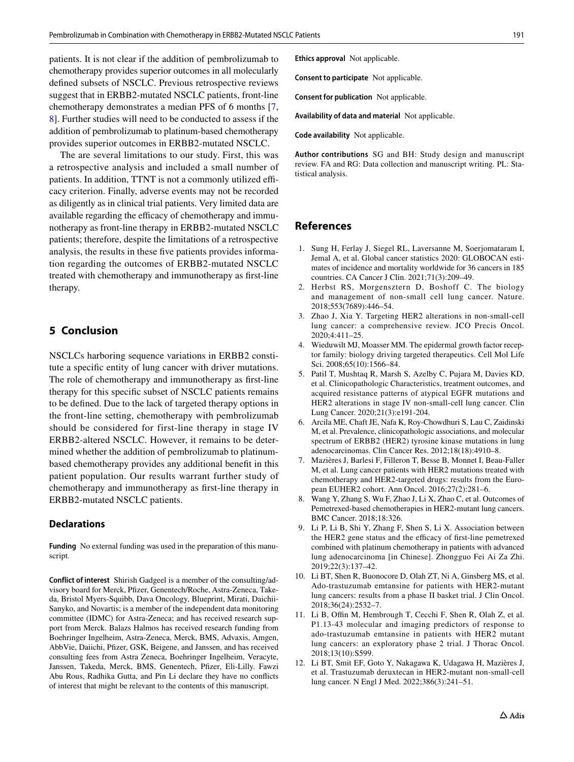patients. It is not clear if the addition of pembrolizumab to chemotherapy provides superior outcomes in all molecularly defned subsets of NSCLC. Previous retrospective reviews suggest that in ERBB2-mutated NSCLC patients, front-line chemotherapy demonstrates a median PFS of 6 months [[7,](#page-5-6) [8](#page-5-7)]. Further studies will need to be conducted to assess if the addition of pembrolizumab to platinum-based chemotherapy provides superior outcomes in ERBB2-mutated NSCLC.

The are several limitations to our study. First, this was a retrospective analysis and included a small number of patients. In addition, TTNT is not a commonly utilized efficacy criterion. Finally, adverse events may not be recorded as diligently as in clinical trial patients. Very limited data are available regarding the efficacy of chemotherapy and immunotherapy as front-line therapy in ERBB2-mutated NSCLC patients; therefore, despite the limitations of a retrospective analysis, the results in these fve patients provides information regarding the outcomes of ERBB2-mutated NSCLC treated with chemotherapy and immunotherapy as frst-line therapy.

## **5 Conclusion**

NSCLCs harboring sequence variations in ERBB2 constitute a specifc entity of lung cancer with driver mutations. The role of chemotherapy and immunotherapy as frst-line therapy for this specifc subset of NSCLC patients remains to be defned. Due to the lack of targeted therapy options in the front-line setting, chemotherapy with pembrolizumab should be considered for first-line therapy in stage IV ERBB2-altered NSCLC. However, it remains to be determined whether the addition of pembrolizumab to platinumbased chemotherapy provides any additional beneft in this patient population. Our results warrant further study of chemotherapy and immunotherapy as frst-line therapy in ERBB2-mutated NSCLC patients.

#### **Declarations**

**Funding** No external funding was used in the preparation of this manuscript.

**Conflict of interest** Shirish Gadgeel is a member of the consulting/advisory board for Merck, Pfzer, Genentech/Roche, Astra-Zeneca, Takeda, Bristol Myers-Squibb, Dava Oncology, Blueprint, Mirati, Daichii-Sanyko, and Novartis; is a member of the independent data monitoring committee (IDMC) for Astra-Zeneca; and has received research support from Merck. Balazs Halmos has received research funding from Boehringer Ingelheim, Astra-Zeneca, Merck, BMS, Advaxis, Amgen, AbbVie, Daiichi, Pfzer, GSK, Beigene, and Janssen, and has received consulting fees from Astra Zeneca, Boehringer Ingelheim, Veracyte, Janssen, Takeda, Merck, BMS, Genentech, Pfzer, Eli-Lilly. Fawzi Abu Rous, Radhika Gutta, and Pin Li declare they have no conficts of interest that might be relevant to the contents of this manuscript.

**Ethics approval** Not applicable.

**Consent to participate** Not applicable.

**Consent for publication** Not applicable.

**Availability of data and material** Not applicable.

**Code availability** Not applicable.

**Author contributions** SG and BH: Study design and manuscript review. FA and RG: Data collection and manuscript writing. PL: Statistical analysis.

#### **References**

- <span id="page-5-0"></span>1. Sung H, Ferlay J, Siegel RL, Laversanne M, Soerjomataram I, Jemal A, et al. Global cancer statistics 2020: GLOBOCAN estimates of incidence and mortality worldwide for 36 cancers in 185 countries. CA Cancer J Clin. 2021;71(3):209–49.
- <span id="page-5-1"></span>2. Herbst RS, Morgensztern D, Boshoff C. The biology and management of non-small cell lung cancer. Nature. 2018;553(7689):446–54.
- <span id="page-5-2"></span>3. Zhao J, Xia Y. Targeting HER2 alterations in non-small-cell lung cancer: a comprehensive review. JCO Precis Oncol. 2020;4:411–25.
- <span id="page-5-3"></span>4. Wieduwilt MJ, Moasser MM. The epidermal growth factor receptor family: biology driving targeted therapeutics. Cell Mol Life Sci. 2008;65(10):1566–84.
- <span id="page-5-4"></span>5. Patil T, Mushtaq R, Marsh S, Azelby C, Pujara M, Davies KD, et al. Clinicopathologic Characteristics, treatment outcomes, and acquired resistance patterns of atypical EGFR mutations and HER2 alterations in stage IV non-small-cell lung cancer. Clin Lung Cancer. 2020;21(3):e191-204.
- <span id="page-5-5"></span>6. Arcila ME, Chaft JE, Nafa K, Roy-Chowdhuri S, Lau C, Zaidinski M, et al. Prevalence, clinicopathologic associations, and molecular spectrum of ERBB2 (HER2) tyrosine kinase mutations in lung adenocarcinomas. Clin Cancer Res. 2012;18(18):4910–8.
- <span id="page-5-6"></span>7. Mazières J, Barlesi F, Filleron T, Besse B, Monnet I, Beau-Faller M, et al. Lung cancer patients with HER2 mutations treated with chemotherapy and HER2-targeted drugs: results from the European EUHER2 cohort. Ann Oncol. 2016;27(2):281–6.
- <span id="page-5-7"></span>8. Wang Y, Zhang S, Wu F, Zhao J, Li X, Zhao C, et al. Outcomes of Pemetrexed-based chemotherapies in HER2-mutant lung cancers. BMC Cancer. 2018;18:326.
- <span id="page-5-8"></span>9. Li P, Li B, Shi Y, Zhang F, Shen S, Li X. Association between the HER2 gene status and the efficacy of first-line pemetrexed combined with platinum chemotherapy in patients with advanced lung adenocarcinoma [in Chinese]. Zhongguo Fei Ai Za Zhi. 2019;22(3):137–42.
- <span id="page-5-9"></span>10. Li BT, Shen R, Buonocore D, Olah ZT, Ni A, Ginsberg MS, et al. Ado-trastuzumab emtansine for patients with HER2-mutant lung cancers: results from a phase II basket trial. J Clin Oncol. 2018;36(24):2532–7.
- <span id="page-5-10"></span>11. Li B, Offin M, Hembrough T, Cecchi F, Shen R, Olah Z, et al. P1.13-43 molecular and imaging predictors of response to ado-trastuzumab emtansine in patients with HER2 mutant lung cancers: an exploratory phase 2 trial. J Thorac Oncol. 2018;13(10):S599.
- <span id="page-5-11"></span>12. Li BT, Smit EF, Goto Y, Nakagawa K, Udagawa H, Mazières J, et al. Trastuzumab deruxtecan in HER2-mutant non-small-cell lung cancer. N Engl J Med. 2022;386(3):241–51.